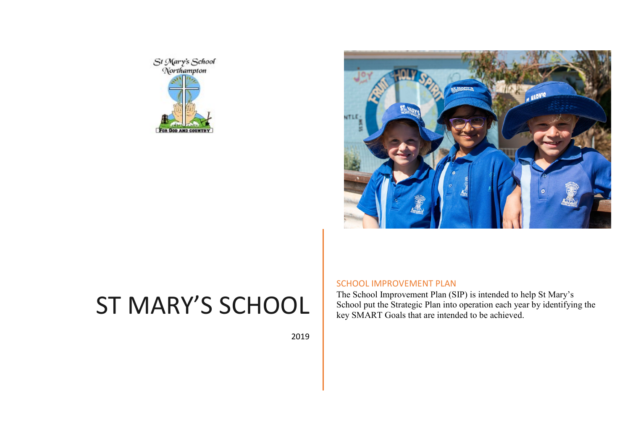



2019

## SCHOOL IMPROVEMENT PLAN

The School Improvement Plan (SIP) is intended to help St Mary's School put the Strategic Plan into operation each year by identifying the key SMART Goals that are intended to be achieved.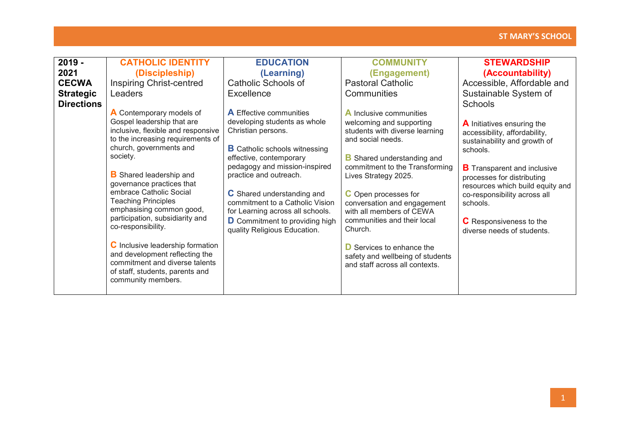| $2019 -$          | <b>CATHOLIC IDENTITY</b>                                                                                                                                                                                                                                                                                                                                                                                                                                                                                                                                      | <b>EDUCATION</b>                                                                                                                                                                                                                                                                                                                                                                                 | <b>COMMUNITY</b>                                                                                                                                                                                                                                                                                                                                                                                                                                               | <b>STEWARDSHIP</b>                                                                                                                                                                                                                                                                                                                 |
|-------------------|---------------------------------------------------------------------------------------------------------------------------------------------------------------------------------------------------------------------------------------------------------------------------------------------------------------------------------------------------------------------------------------------------------------------------------------------------------------------------------------------------------------------------------------------------------------|--------------------------------------------------------------------------------------------------------------------------------------------------------------------------------------------------------------------------------------------------------------------------------------------------------------------------------------------------------------------------------------------------|----------------------------------------------------------------------------------------------------------------------------------------------------------------------------------------------------------------------------------------------------------------------------------------------------------------------------------------------------------------------------------------------------------------------------------------------------------------|------------------------------------------------------------------------------------------------------------------------------------------------------------------------------------------------------------------------------------------------------------------------------------------------------------------------------------|
| 2021              | (Discipleship)                                                                                                                                                                                                                                                                                                                                                                                                                                                                                                                                                | (Learning)                                                                                                                                                                                                                                                                                                                                                                                       | (Engagement)                                                                                                                                                                                                                                                                                                                                                                                                                                                   | (Accountability)                                                                                                                                                                                                                                                                                                                   |
| <b>CECWA</b>      | <b>Inspiring Christ-centred</b>                                                                                                                                                                                                                                                                                                                                                                                                                                                                                                                               | Catholic Schools of                                                                                                                                                                                                                                                                                                                                                                              | <b>Pastoral Catholic</b>                                                                                                                                                                                                                                                                                                                                                                                                                                       | Accessible, Affordable and                                                                                                                                                                                                                                                                                                         |
| <b>Strategic</b>  | Leaders                                                                                                                                                                                                                                                                                                                                                                                                                                                                                                                                                       | Excellence                                                                                                                                                                                                                                                                                                                                                                                       | Communities                                                                                                                                                                                                                                                                                                                                                                                                                                                    | Sustainable System of                                                                                                                                                                                                                                                                                                              |
| <b>Directions</b> |                                                                                                                                                                                                                                                                                                                                                                                                                                                                                                                                                               |                                                                                                                                                                                                                                                                                                                                                                                                  |                                                                                                                                                                                                                                                                                                                                                                                                                                                                | <b>Schools</b>                                                                                                                                                                                                                                                                                                                     |
|                   | A Contemporary models of<br>Gospel leadership that are<br>inclusive, flexible and responsive<br>to the increasing requirements of<br>church, governments and<br>society.<br><b>B</b> Shared leadership and<br>governance practices that<br>embrace Catholic Social<br><b>Teaching Principles</b><br>emphasising common good,<br>participation, subsidiarity and<br>co-responsibility.<br><b>C</b> Inclusive leadership formation<br>and development reflecting the<br>commitment and diverse talents<br>of staff, students, parents and<br>community members. | <b>A</b> Effective communities<br>developing students as whole<br>Christian persons.<br><b>B</b> Catholic schools witnessing<br>effective, contemporary<br>pedagogy and mission-inspired<br>practice and outreach.<br><b>C</b> Shared understanding and<br>commitment to a Catholic Vision<br>for Learning across all schools.<br>D Commitment to providing high<br>quality Religious Education. | <b>A</b> Inclusive communities<br>welcoming and supporting<br>students with diverse learning<br>and social needs.<br><b>B</b> Shared understanding and<br>commitment to the Transforming<br>Lives Strategy 2025.<br><b>C</b> Open processes for<br>conversation and engagement<br>with all members of CEWA<br>communities and their local<br>Church.<br><b>D</b> Services to enhance the<br>safety and wellbeing of students<br>and staff across all contexts. | <b>A</b> Initiatives ensuring the<br>accessibility, affordability,<br>sustainability and growth of<br>schools.<br><b>B</b> Transparent and inclusive<br>processes for distributing<br>resources which build equity and<br>co-responsibility across all<br>schools.<br><b>C</b> Responsiveness to the<br>diverse needs of students. |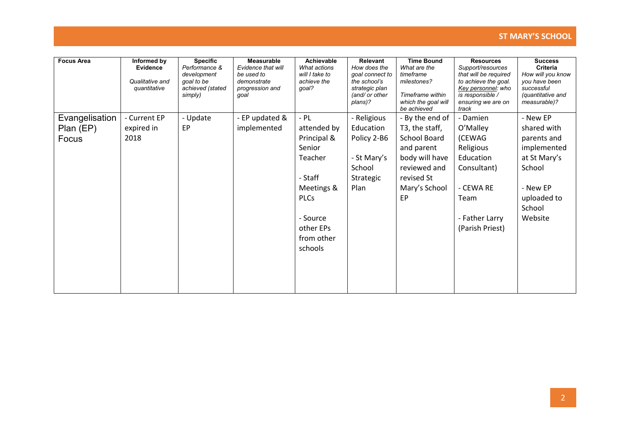| <b>Focus Area</b> | Informed by<br>Evidence<br>Qualitative and<br>quantitative | <b>Specific</b><br>Performance &<br>development<br>goal to be<br>achieved (stated<br>simply) | <b>Measurable</b><br>Evidence that will<br>be used to<br>demonstrate<br>progression and<br>goal | <b>Achievable</b><br>What actions<br>will I take to<br>achieve the<br>qoal? | Relevant<br>How does the<br>goal connect to<br>the school's<br>strategic plan<br>(and/ or other<br>plans)? | <b>Time Bound</b><br>What are the<br>timeframe<br>milestones?<br>Timeframe within<br>which the goal will<br>be achieved | <b>Resources</b><br>Support/resources<br>that will be required<br>to achieve the goal.<br>Key personnel: who<br>is responsible /<br>ensuring we are on<br>track | <b>Success</b><br>Criteria<br>How will you know<br>you have been<br>successful<br>(quantitative and<br>measurable)? |
|-------------------|------------------------------------------------------------|----------------------------------------------------------------------------------------------|-------------------------------------------------------------------------------------------------|-----------------------------------------------------------------------------|------------------------------------------------------------------------------------------------------------|-------------------------------------------------------------------------------------------------------------------------|-----------------------------------------------------------------------------------------------------------------------------------------------------------------|---------------------------------------------------------------------------------------------------------------------|
| Evangelisation    | - Current EP                                               | - Update                                                                                     | - EP updated &                                                                                  | $-$ PL                                                                      | - Religious                                                                                                | - By the end of                                                                                                         | - Damien                                                                                                                                                        | - New EP                                                                                                            |
| Plan (EP)         | expired in                                                 | EP                                                                                           | implemented                                                                                     | attended by                                                                 | Education                                                                                                  | T3, the staff,                                                                                                          | O'Malley                                                                                                                                                        | shared with                                                                                                         |
| Focus             | 2018                                                       |                                                                                              |                                                                                                 | Principal &                                                                 | Policy 2-B6                                                                                                | <b>School Board</b>                                                                                                     | (CEWAG                                                                                                                                                          | parents and                                                                                                         |
|                   |                                                            |                                                                                              |                                                                                                 | Senior                                                                      |                                                                                                            | and parent                                                                                                              | Religious                                                                                                                                                       | implemented                                                                                                         |
|                   |                                                            |                                                                                              |                                                                                                 | Teacher                                                                     | - St Mary's                                                                                                | body will have                                                                                                          | Education                                                                                                                                                       | at St Mary's                                                                                                        |
|                   |                                                            |                                                                                              |                                                                                                 |                                                                             | School                                                                                                     | reviewed and                                                                                                            | Consultant)                                                                                                                                                     | School                                                                                                              |
|                   |                                                            |                                                                                              |                                                                                                 | - Staff                                                                     | Strategic                                                                                                  | revised St                                                                                                              |                                                                                                                                                                 |                                                                                                                     |
|                   |                                                            |                                                                                              |                                                                                                 | Meetings &                                                                  | Plan                                                                                                       | Mary's School                                                                                                           | - CEWA RE                                                                                                                                                       | - New EP                                                                                                            |
|                   |                                                            |                                                                                              |                                                                                                 | <b>PLCs</b>                                                                 |                                                                                                            | EP                                                                                                                      | Team                                                                                                                                                            | uploaded to                                                                                                         |
|                   |                                                            |                                                                                              |                                                                                                 |                                                                             |                                                                                                            |                                                                                                                         |                                                                                                                                                                 | School                                                                                                              |
|                   |                                                            |                                                                                              |                                                                                                 | - Source                                                                    |                                                                                                            |                                                                                                                         | - Father Larry                                                                                                                                                  | Website                                                                                                             |
|                   |                                                            |                                                                                              |                                                                                                 | other EPs                                                                   |                                                                                                            |                                                                                                                         | (Parish Priest)                                                                                                                                                 |                                                                                                                     |
|                   |                                                            |                                                                                              |                                                                                                 | from other                                                                  |                                                                                                            |                                                                                                                         |                                                                                                                                                                 |                                                                                                                     |
|                   |                                                            |                                                                                              |                                                                                                 | schools                                                                     |                                                                                                            |                                                                                                                         |                                                                                                                                                                 |                                                                                                                     |
|                   |                                                            |                                                                                              |                                                                                                 |                                                                             |                                                                                                            |                                                                                                                         |                                                                                                                                                                 |                                                                                                                     |
|                   |                                                            |                                                                                              |                                                                                                 |                                                                             |                                                                                                            |                                                                                                                         |                                                                                                                                                                 |                                                                                                                     |
|                   |                                                            |                                                                                              |                                                                                                 |                                                                             |                                                                                                            |                                                                                                                         |                                                                                                                                                                 |                                                                                                                     |
|                   |                                                            |                                                                                              |                                                                                                 |                                                                             |                                                                                                            |                                                                                                                         |                                                                                                                                                                 |                                                                                                                     |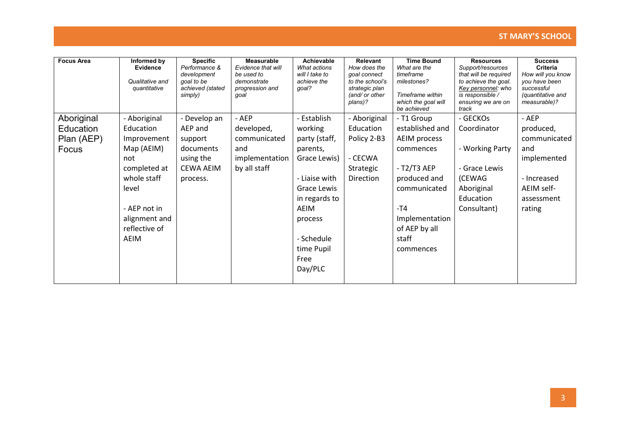| <b>Focus Area</b> | Informed by<br><b>Evidence</b><br>Qualitative and<br>quantitative | <b>Specific</b><br>Performance &<br>development<br>goal to be<br>achieved (stated<br>simply) | <b>Measurable</b><br>Evidence that will<br>be used to<br>demonstrate<br>progression and<br>goal | Achievable<br>What actions<br>will I take to<br>achieve the<br>qoal? | Relevant<br>How does the<br>qoal connect<br>to the school's<br>strategic plan<br>(and/ or other<br>plans)? | <b>Time Bound</b><br>What are the<br>timeframe<br>milestones?<br>Timeframe within<br>which the goal will<br>be achieved | <b>Resources</b><br>Support/resources<br>that will be required<br>to achieve the goal.<br>Key personnel: who<br>is responsible /<br>ensuring we are on<br>track | <b>Success</b><br><b>Criteria</b><br>How will you know<br>you have been<br>successful<br>(quantitative and<br>measurable)? |
|-------------------|-------------------------------------------------------------------|----------------------------------------------------------------------------------------------|-------------------------------------------------------------------------------------------------|----------------------------------------------------------------------|------------------------------------------------------------------------------------------------------------|-------------------------------------------------------------------------------------------------------------------------|-----------------------------------------------------------------------------------------------------------------------------------------------------------------|----------------------------------------------------------------------------------------------------------------------------|
| Aboriginal        | - Aboriginal                                                      | - Develop an                                                                                 | - AEP                                                                                           | - Establish                                                          | - Aboriginal                                                                                               | - T1 Group                                                                                                              | - GECKOs                                                                                                                                                        | - AEP                                                                                                                      |
| Education         | Education                                                         | AEP and                                                                                      | developed,                                                                                      | working                                                              | Education                                                                                                  | established and                                                                                                         | Coordinator                                                                                                                                                     | produced,                                                                                                                  |
| Plan (AEP)        | Improvement                                                       | support                                                                                      | communicated                                                                                    | party (staff,                                                        | Policy 2-B3                                                                                                | AEIM process                                                                                                            |                                                                                                                                                                 | communicated                                                                                                               |
| Focus             | Map (AEIM)                                                        | documents                                                                                    | and                                                                                             | parents,                                                             |                                                                                                            | commences                                                                                                               | - Working Party                                                                                                                                                 | and                                                                                                                        |
|                   | not                                                               | using the                                                                                    | implementation                                                                                  | Grace Lewis)                                                         | - CECWA                                                                                                    |                                                                                                                         |                                                                                                                                                                 | implemented                                                                                                                |
|                   | completed at                                                      | <b>CEWA AEIM</b>                                                                             | by all staff                                                                                    |                                                                      | Strategic                                                                                                  | - T2/T3 AEP                                                                                                             | - Grace Lewis                                                                                                                                                   |                                                                                                                            |
|                   | whole staff                                                       | process.                                                                                     |                                                                                                 | - Liaise with                                                        | Direction                                                                                                  | produced and                                                                                                            | (CEWAG                                                                                                                                                          | - Increased                                                                                                                |
|                   | level                                                             |                                                                                              |                                                                                                 | Grace Lewis                                                          |                                                                                                            | communicated                                                                                                            | Aboriginal                                                                                                                                                      | AEIM self-                                                                                                                 |
|                   |                                                                   |                                                                                              |                                                                                                 | in regards to                                                        |                                                                                                            |                                                                                                                         | Education                                                                                                                                                       | assessment                                                                                                                 |
|                   | - AEP not in                                                      |                                                                                              |                                                                                                 | AEIM                                                                 |                                                                                                            | -T4                                                                                                                     | Consultant)                                                                                                                                                     | rating                                                                                                                     |
|                   | alignment and                                                     |                                                                                              |                                                                                                 | process                                                              |                                                                                                            | Implementation                                                                                                          |                                                                                                                                                                 |                                                                                                                            |
|                   | reflective of                                                     |                                                                                              |                                                                                                 |                                                                      |                                                                                                            | of AEP by all                                                                                                           |                                                                                                                                                                 |                                                                                                                            |
|                   | AEIM                                                              |                                                                                              |                                                                                                 | - Schedule                                                           |                                                                                                            | staff                                                                                                                   |                                                                                                                                                                 |                                                                                                                            |
|                   |                                                                   |                                                                                              |                                                                                                 | time Pupil                                                           |                                                                                                            | commences                                                                                                               |                                                                                                                                                                 |                                                                                                                            |
|                   |                                                                   |                                                                                              |                                                                                                 | Free                                                                 |                                                                                                            |                                                                                                                         |                                                                                                                                                                 |                                                                                                                            |
|                   |                                                                   |                                                                                              |                                                                                                 | Day/PLC                                                              |                                                                                                            |                                                                                                                         |                                                                                                                                                                 |                                                                                                                            |
|                   |                                                                   |                                                                                              |                                                                                                 |                                                                      |                                                                                                            |                                                                                                                         |                                                                                                                                                                 |                                                                                                                            |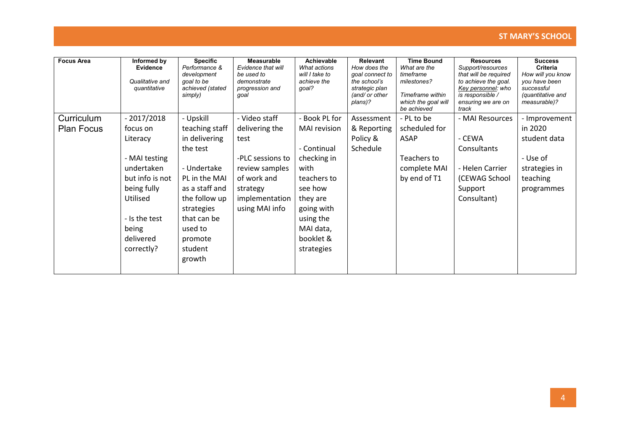| <b>Focus Area</b>               | Informed by<br><b>Evidence</b><br>Qualitative and<br>quantitative                                                                                                      | <b>Specific</b><br>Performance &<br>development<br>goal to be<br>achieved (stated<br>simply)                                                                                                        | <b>Measurable</b><br>Evidence that will<br>be used to<br>demonstrate<br>progression and<br>qoal                                              | <b>Achievable</b><br>What actions<br>will I take to<br>achieve the<br>qoal?                                                                                                         | Relevant<br>How does the<br>goal connect to<br>the school's<br>strategic plan<br>(and/ or other<br>plans)? | <b>Time Bound</b><br>What are the<br>timeframe<br>milestones?<br>Timeframe within<br>which the goal will<br>be achieved | <b>Resources</b><br>Support/resources<br>that will be required<br>to achieve the goal.<br>Key personnel: who<br>is responsible /<br>ensuring we are on<br>track | <b>Success</b><br><b>Criteria</b><br>How will you know<br>you have been<br>successful<br>(quantitative and<br>measurable)? |
|---------------------------------|------------------------------------------------------------------------------------------------------------------------------------------------------------------------|-----------------------------------------------------------------------------------------------------------------------------------------------------------------------------------------------------|----------------------------------------------------------------------------------------------------------------------------------------------|-------------------------------------------------------------------------------------------------------------------------------------------------------------------------------------|------------------------------------------------------------------------------------------------------------|-------------------------------------------------------------------------------------------------------------------------|-----------------------------------------------------------------------------------------------------------------------------------------------------------------|----------------------------------------------------------------------------------------------------------------------------|
| Curriculum<br><b>Plan Focus</b> | $-2017/2018$<br>focus on<br>Literacy<br>- MAI testing<br>undertaken<br>but info is not<br>being fully<br>Utilised<br>- Is the test<br>being<br>delivered<br>correctly? | - Upskill<br>teaching staff<br>in delivering<br>the test<br>- Undertake<br>PL in the MAI<br>as a staff and<br>the follow up<br>strategies<br>that can be<br>used to<br>promote<br>student<br>growth | - Video staff<br>delivering the<br>test<br>-PLC sessions to<br>review samples<br>of work and<br>strategy<br>implementation<br>using MAI info | - Book PL for<br><b>MAI</b> revision<br>- Continual<br>checking in<br>with<br>teachers to<br>see how<br>they are<br>going with<br>using the<br>MAI data,<br>booklet &<br>strategies | Assessment<br>& Reporting<br>Policy &<br>Schedule                                                          | - PL to be<br>scheduled for<br>ASAP<br>Teachers to<br>complete MAI<br>by end of T1                                      | - MAI Resources<br>- CEWA<br><b>Consultants</b><br>- Helen Carrier<br>(CEWAG School<br>Support<br>Consultant)                                                   | - Improvement<br>in 2020<br>student data<br>- Use of<br>strategies in<br>teaching<br>programmes                            |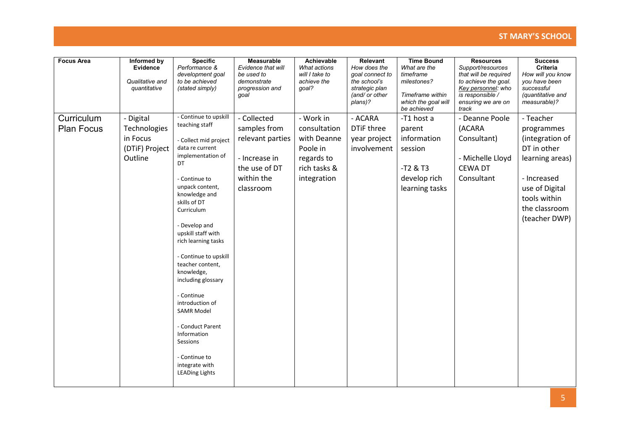| <b>Focus Area</b>               | Informed by<br>Evidence<br>Qualitative and<br>quantitative         | <b>Specific</b><br>Performance &<br>development goal<br>to be achieved<br>(stated simply)                                                                                                                                                                                                                                                                                                                                                                                                                         | Measurable<br>Evidence that will<br>be used to<br>demonstrate<br>progression and<br>goal                     | Achievable<br>What actions<br>will I take to<br>achieve the<br>qoal?                              | Relevant<br>How does the<br>goal connect to<br>the school's<br>strategic plan<br>(and/ or other<br>plans)? | <b>Time Bound</b><br>What are the<br>timeframe<br>milestones?<br>Timeframe within<br>which the goal will<br>be achieved | <b>Resources</b><br>Support/resources<br>that will be required<br>to achieve the goal.<br>Key personnel: who<br>is responsible /<br>ensuring we are on<br>track | <b>Success</b><br><b>Criteria</b><br>How will you know<br>you have been<br>successful<br>(quantitative and<br>measurable)?                                      |
|---------------------------------|--------------------------------------------------------------------|-------------------------------------------------------------------------------------------------------------------------------------------------------------------------------------------------------------------------------------------------------------------------------------------------------------------------------------------------------------------------------------------------------------------------------------------------------------------------------------------------------------------|--------------------------------------------------------------------------------------------------------------|---------------------------------------------------------------------------------------------------|------------------------------------------------------------------------------------------------------------|-------------------------------------------------------------------------------------------------------------------------|-----------------------------------------------------------------------------------------------------------------------------------------------------------------|-----------------------------------------------------------------------------------------------------------------------------------------------------------------|
| Curriculum<br><b>Plan Focus</b> | - Digital<br>Technologies<br>in Focus<br>(DTiF) Project<br>Outline | - Continue to upskill<br>teaching staff<br>- Collect mid project<br>data re current<br>implementation of<br>DT<br>- Continue to<br>unpack content,<br>knowledge and<br>skills of DT<br>Curriculum<br>- Develop and<br>upskill staff with<br>rich learning tasks<br>- Continue to upskill<br>teacher content,<br>knowledge,<br>including glossary<br>- Continue<br>introduction of<br><b>SAMR Model</b><br>- Conduct Parent<br>Information<br>Sessions<br>- Continue to<br>integrate with<br><b>LEADing Lights</b> | - Collected<br>samples from<br>relevant parties<br>- Increase in<br>the use of DT<br>within the<br>classroom | - Work in<br>consultation<br>with Deanne<br>Poole in<br>regards to<br>rich tasks &<br>integration | - ACARA<br>DTiF three<br>year project<br>involvement                                                       | -T1 host a<br>parent<br>information<br>session<br>$-T2$ & T3<br>develop rich<br>learning tasks                          | - Deanne Poole<br>(ACARA<br>Consultant)<br>- Michelle Lloyd<br><b>CEWA DT</b><br>Consultant                                                                     | - Teacher<br>programmes<br>(integration of<br>DT in other<br>learning areas)<br>- Increased<br>use of Digital<br>tools within<br>the classroom<br>(teacher DWP) |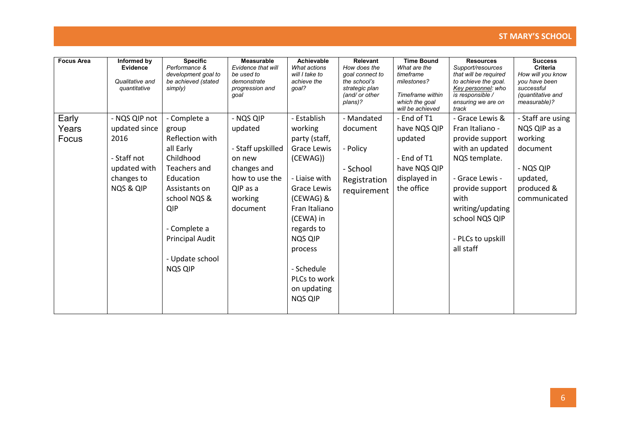| <b>Focus Area</b> | Informed by<br>Evidence<br>Qualitative and<br>quantitative | <b>Specific</b><br>Performance &<br>development goal to<br>be achieved (stated<br>simply) | <b>Measurable</b><br>Evidence that will<br>be used to<br>demonstrate<br>progression and<br>goal | Achievable<br>What actions<br>will I take to<br>achieve the<br>qoal? | Relevant<br>How does the<br>qoal connect to<br>the school's<br>strategic plan<br>(and/ or other<br>plans)? | <b>Time Bound</b><br>What are the<br>timeframe<br>milestones?<br>Timeframe within<br>which the goal<br>will be achieved | <b>Resources</b><br>Support/resources<br>that will be required<br>to achieve the goal.<br>Key personnel: who<br>is responsible /<br>ensuring we are on<br>track | <b>Success</b><br><b>Criteria</b><br>How will you know<br>you have been<br>successful<br>(quantitative and<br>measurable)? |
|-------------------|------------------------------------------------------------|-------------------------------------------------------------------------------------------|-------------------------------------------------------------------------------------------------|----------------------------------------------------------------------|------------------------------------------------------------------------------------------------------------|-------------------------------------------------------------------------------------------------------------------------|-----------------------------------------------------------------------------------------------------------------------------------------------------------------|----------------------------------------------------------------------------------------------------------------------------|
| Early             | - NQS QIP not                                              | - Complete a                                                                              | - NQS QIP                                                                                       | - Establish                                                          | - Mandated                                                                                                 | - End of T1                                                                                                             | - Grace Lewis &                                                                                                                                                 | - Staff are using                                                                                                          |
| Years             | updated since                                              | group                                                                                     | updated                                                                                         | working                                                              | document                                                                                                   | have NQS QIP                                                                                                            | Fran Italiano -                                                                                                                                                 | NQS QIP as a                                                                                                               |
| Focus             | 2016                                                       | Reflection with                                                                           |                                                                                                 | party (staff,                                                        |                                                                                                            | updated                                                                                                                 | provide support                                                                                                                                                 | working                                                                                                                    |
|                   |                                                            | all Early                                                                                 | - Staff upskilled                                                                               | Grace Lewis                                                          | - Policy                                                                                                   |                                                                                                                         | with an updated                                                                                                                                                 | document                                                                                                                   |
|                   | - Staff not                                                | Childhood                                                                                 | on new                                                                                          | (CEWAG))                                                             |                                                                                                            | - End of T1                                                                                                             | NQS template.                                                                                                                                                   |                                                                                                                            |
|                   | updated with                                               | Teachers and                                                                              | changes and                                                                                     |                                                                      | - School                                                                                                   | have NQS QIP                                                                                                            |                                                                                                                                                                 | - NQS QIP                                                                                                                  |
|                   | changes to                                                 | Education                                                                                 | how to use the                                                                                  | - Liaise with                                                        | Registration                                                                                               | displayed in                                                                                                            | - Grace Lewis -                                                                                                                                                 | updated,                                                                                                                   |
|                   | NQS & QIP                                                  | Assistants on                                                                             | QIP as a                                                                                        | Grace Lewis                                                          | requirement                                                                                                | the office                                                                                                              | provide support                                                                                                                                                 | produced &                                                                                                                 |
|                   |                                                            | school NQS &                                                                              | working                                                                                         | (CEWAG) &                                                            |                                                                                                            |                                                                                                                         | with                                                                                                                                                            | communicated                                                                                                               |
|                   |                                                            | <b>QIP</b>                                                                                | document                                                                                        | Fran Italiano                                                        |                                                                                                            |                                                                                                                         | writing/updating                                                                                                                                                |                                                                                                                            |
|                   |                                                            |                                                                                           |                                                                                                 | (CEWA) in                                                            |                                                                                                            |                                                                                                                         | school NQS QIP                                                                                                                                                  |                                                                                                                            |
|                   |                                                            | - Complete a                                                                              |                                                                                                 | regards to                                                           |                                                                                                            |                                                                                                                         |                                                                                                                                                                 |                                                                                                                            |
|                   |                                                            | <b>Principal Audit</b>                                                                    |                                                                                                 | NQS QIP                                                              |                                                                                                            |                                                                                                                         | - PLCs to upskill                                                                                                                                               |                                                                                                                            |
|                   |                                                            |                                                                                           |                                                                                                 | process                                                              |                                                                                                            |                                                                                                                         | all staff                                                                                                                                                       |                                                                                                                            |
|                   |                                                            | - Update school                                                                           |                                                                                                 |                                                                      |                                                                                                            |                                                                                                                         |                                                                                                                                                                 |                                                                                                                            |
|                   |                                                            | NQS QIP                                                                                   |                                                                                                 | - Schedule                                                           |                                                                                                            |                                                                                                                         |                                                                                                                                                                 |                                                                                                                            |
|                   |                                                            |                                                                                           |                                                                                                 | PLCs to work                                                         |                                                                                                            |                                                                                                                         |                                                                                                                                                                 |                                                                                                                            |
|                   |                                                            |                                                                                           |                                                                                                 | on updating                                                          |                                                                                                            |                                                                                                                         |                                                                                                                                                                 |                                                                                                                            |
|                   |                                                            |                                                                                           |                                                                                                 | <b>NQS QIP</b>                                                       |                                                                                                            |                                                                                                                         |                                                                                                                                                                 |                                                                                                                            |
|                   |                                                            |                                                                                           |                                                                                                 |                                                                      |                                                                                                            |                                                                                                                         |                                                                                                                                                                 |                                                                                                                            |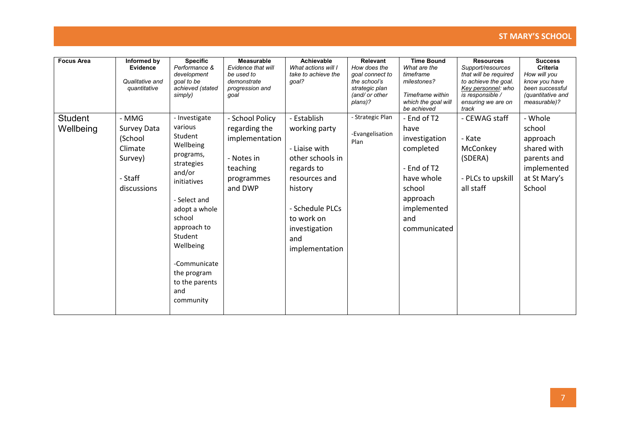| <b>Focus Area</b>           | Informed by<br>Evidence<br>Qualitative and<br>quantitative                      | <b>Specific</b><br>Performance &<br>development<br>goal to be<br>achieved (stated<br>simply)                                                                                                                                                                | Measurable<br>Evidence that will<br>be used to<br>demonstrate<br>progression and<br>qoal              | <b>Achievable</b><br>What actions will I<br>take to achieve the<br>goal?                                                                                                               | Relevant<br>How does the<br>goal connect to<br>the school's<br>strategic plan<br>(and/ or other<br>plans)? | <b>Time Bound</b><br>What are the<br>timeframe<br>milestones?<br>Timeframe within<br>which the goal will<br>be achieved                    | <b>Resources</b><br>Support/resources<br>that will be required<br>to achieve the goal.<br>Key personnel: who<br>is responsible /<br>ensuring we are on<br>track | <b>Success</b><br>Criteria<br>How will you<br>know you have<br>been successful<br>(quantitative and<br>measurable)? |
|-----------------------------|---------------------------------------------------------------------------------|-------------------------------------------------------------------------------------------------------------------------------------------------------------------------------------------------------------------------------------------------------------|-------------------------------------------------------------------------------------------------------|----------------------------------------------------------------------------------------------------------------------------------------------------------------------------------------|------------------------------------------------------------------------------------------------------------|--------------------------------------------------------------------------------------------------------------------------------------------|-----------------------------------------------------------------------------------------------------------------------------------------------------------------|---------------------------------------------------------------------------------------------------------------------|
| <b>Student</b><br>Wellbeing | - MMG<br>Survey Data<br>(School<br>Climate<br>Survey)<br>- Staff<br>discussions | - Investigate<br>various<br>Student<br>Wellbeing<br>programs,<br>strategies<br>and/or<br>initiatives<br>- Select and<br>adopt a whole<br>school<br>approach to<br>Student<br>Wellbeing<br>-Communicate<br>the program<br>to the parents<br>and<br>community | - School Policy<br>regarding the<br>implementation<br>- Notes in<br>teaching<br>programmes<br>and DWP | - Establish<br>working party<br>- Liaise with<br>other schools in<br>regards to<br>resources and<br>history<br>- Schedule PLCs<br>to work on<br>investigation<br>and<br>implementation | - Strategic Plan<br>-Evangelisation<br>Plan                                                                | - End of T2<br>have<br>investigation<br>completed<br>- End of T2<br>have whole<br>school<br>approach<br>implemented<br>and<br>communicated | - CEWAG staff<br>- Kate<br>McConkey<br>(SDERA)<br>- PLCs to upskill<br>all staff                                                                                | - Whole<br>school<br>approach<br>shared with<br>parents and<br>implemented<br>at St Mary's<br>School                |